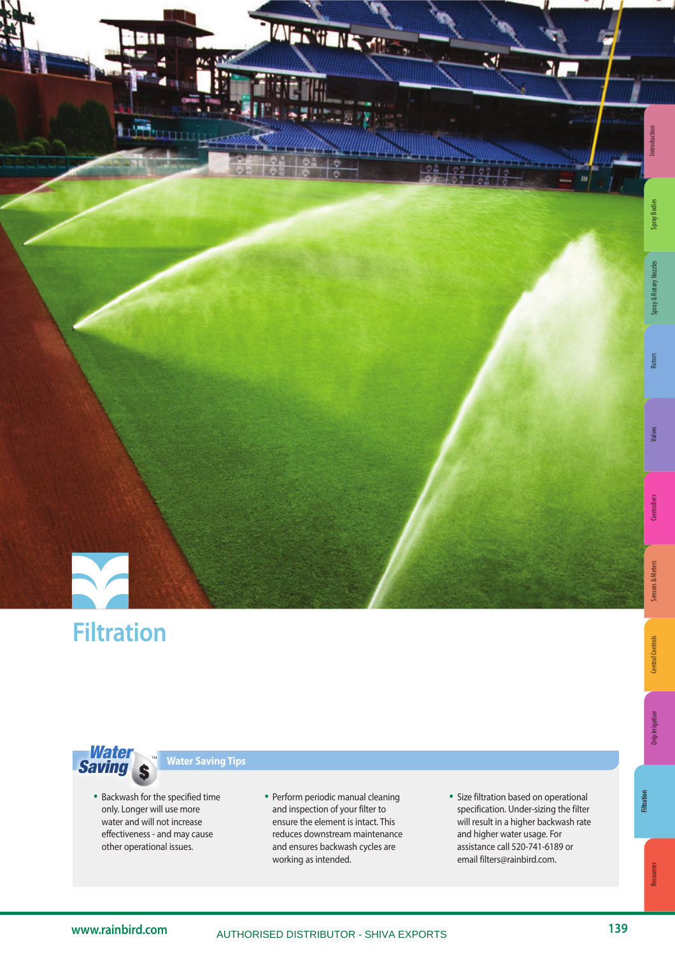



# **Filtration**

**Sensors & Meters** 

Resources



# **Water Saving Tips**

- Backwash for the specified time only. Longer will use more water and will not increase effectiveness - and may cause other operational issues.
- Perform periodic manual cleaning and inspection of your filter to ensure the element is intact. This reduces downstream maintenance and ensures backwash cycles are working as intended.
- Size filtration based on operational specification. Under-sizing the filter will result in a higher backwash rate and higher water usage. For assistance call 520-741-6189 or email filters@rainbird.com.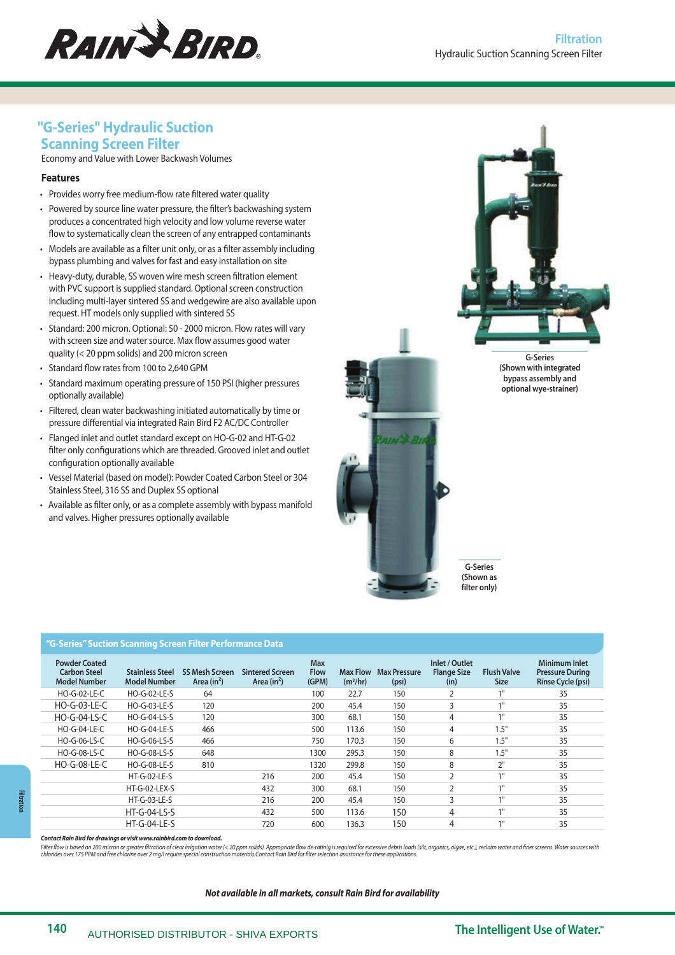

# **"G-Series" Hydraulic Suction Scanning Screen Filter**

Economy and Value with Lower Backwash Volumes

## **Features**

- Provides worry free medium-flow rate filtered water quality
- Powered by source line water pressure, the filter's backwashing system produces a concentrated high velocity and low volume reverse water flow to systematically clean the screen of any entrapped contaminants
- Models are available as a filter unit only, or as a filter assembly including bypass plumbing and valves for fast and easy installation on site
- Heavy-duty, durable, SS woven wire mesh screen filtration element with PVC support is supplied standard. Optional screen construction including multi-layer sintered SS and wedgewire are also available upon request. HT models only supplied with sintered SS
- Standard: 200 micron. Optional: 50 2000 micron. Flow rates will vary with screen size and water source. Max flow assumes good water quality (< 20 ppm solids) and 200 micron screen
- Standard flow rates from 100 to 2,640 GPM
- Standard maximum operating pressure of 150 PSI (higher pressures optionally available)
- Filtered, clean water backwashing initiated automatically by time or pressure differential via integrated Rain Bird F2 AC/DC Controller
- Flanged inlet and outlet standard except on HO-G-02 and HT-G-02 filter only configurations which are threaded. Grooved inlet and outlet configuration optionally available
- Vessel Material (based on model): Powder Coated Carbon Steel or 304 Stainless Steel, 316 SS and Duplex SS optional
- Available as filter only, or as a complete assembly with bypass manifold and valves. Higher pressures optionally available





**G-Series (Shown with integrated bypass assembly and optional wye-strainer)**

**G-Series (Shown as filter only)**

#### **"G-Series" Suction Scanning Screen Filter Performance Data**

| <b>Powder Coated</b><br><b>Carbon Steel</b><br><b>Model Number</b> | <b>Stainless Steel</b><br><b>Model Number</b> | <b>SS Mesh Screen</b><br>Area $(in^2)$ | <b>Sintered Screen</b><br>Area $(in^2)$ | <b>Max</b><br><b>Flow</b><br>(GPM) | <b>Max Flow</b><br>(m <sup>3</sup> /hr) | <b>Max Pressure</b><br>(psi) | Inlet / Outlet<br><b>Flange Size</b><br>(in) | <b>Flush Valve</b><br><b>Size</b> | Minimum Inlet<br><b>Pressure During</b><br>Rinse Cycle (psi) |
|--------------------------------------------------------------------|-----------------------------------------------|----------------------------------------|-----------------------------------------|------------------------------------|-----------------------------------------|------------------------------|----------------------------------------------|-----------------------------------|--------------------------------------------------------------|
| <b>HO-G-02-LE-C</b>                                                | <b>HO-G-02-LE-S</b>                           | 64                                     |                                         | 100                                | 22.7                                    | 150                          |                                              | 1                                 | 35                                                           |
| <b>HO-G-03-LE-C</b>                                                | <b>HO-G-03-LE-S</b>                           | 120                                    |                                         | 200                                | 45.4                                    | 150                          | 3                                            | 1                                 | 35                                                           |
| <b>HO-G-04-LS-C</b>                                                | HO-G-04-LS-S                                  | 120                                    |                                         | 300                                | 68.1                                    | 150                          | $\overline{4}$                               | 1                                 | 35                                                           |
| <b>HO-G-04-LE-C</b>                                                | <b>HO-G-04-LE-S</b>                           | 466                                    |                                         | 500                                | 113.6                                   | 150                          | $\overline{4}$                               | 1.5"                              | 35                                                           |
| HO-G-06-LS-C                                                       | HO-G-06-LS-S                                  | 466                                    |                                         | 750                                | 170.3                                   | 150                          | 6                                            | 1.5"                              | 35                                                           |
| HO-G-08-LS-C                                                       | HO-G-08-LS-S                                  | 648                                    |                                         | 1300                               | 295.3                                   | 150                          | 8                                            | 1.5"                              | 35                                                           |
| <b>HO-G-08-LE-C</b>                                                | <b>HO-G-08-LE-S</b>                           | 810                                    |                                         | 1320                               | 299.8                                   | 150                          | 8                                            | $\neg$                            | 35                                                           |
|                                                                    | <b>HT-G-02-LE-S</b>                           |                                        | 216                                     | 200                                | 45.4                                    | 150                          | $\overline{2}$                               | 1                                 | 35                                                           |
|                                                                    | HT-G-02-LEX-S                                 |                                        | 432                                     | 300                                | 68.1                                    | 150                          | $\mathcal{D}$                                | 11                                | 35                                                           |
|                                                                    | $HT-G-03-LE-S$                                |                                        | 216                                     | 200                                | 45.4                                    | 150                          | 3                                            | 1                                 | 35                                                           |
|                                                                    | <b>HT-G-04-LS-S</b>                           |                                        | 432                                     | 500                                | 113.6                                   | 150                          | $\overline{4}$                               | 11                                | 35                                                           |
|                                                                    | $HT-G-04-LE-S$                                |                                        | 720                                     | 600                                | 136.3                                   | 150                          | 4                                            | 11                                | 35                                                           |

**Contact Rain Bird for drawings or visit www.rainbird.com to download.**

Filter flow is based on 200 micron or greater filtration of clear irrigation water (< 20 ppm solids). Appropriate flow de-ratinig is required for excessive debris loads (silt, organics, algae, etc.), reclaim water and fine

#### **Not available in all markets, consult Rain Bird for availability**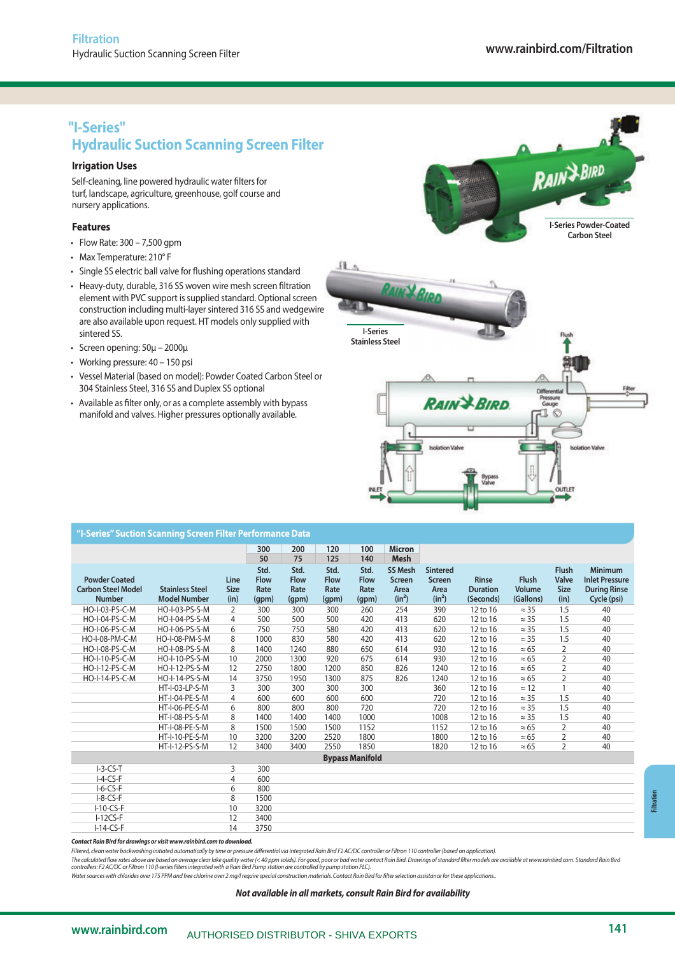# **"I-Series" Hydraulic Suction Scanning Screen Filter**

## **Irrigation Uses**

Self-cleaning, line powered hydraulic water filters for turf, landscape, agriculture, greenhouse, golf course and nursery applications.

## **Features**

- Flow Rate: 300 7,500 gpm
- Max Temperature: 210° F
- Single SS electric ball valve for flushing operations standard
- Heavy-duty, durable, 316 SS woven wire mesh screen filtration element with PVC support is supplied standard. Optional screen element with PVC support is supplied standard. Optional screen<br>construction including multi-layer sintered 316 SS and wedgewire are also available upon request. HT models only supplied with sintered SS.
- Screen opening: 50μ 2000μ
- Working pressure: 40 150 psi
- Vessel Material (based on model): Powder Coated Carbon Steel or 304 Stainless Steel, 316 SS and Duplex SS optional
- Available as filter only, or as a complete assembly with bypass manifold and valves. Higher pressures optionally available.



| "I-Series" Suction Scanning Screen Filter Performance Data         |                                               |                             |                                      |                                      |                                      |                                      |                                                     |                                                      |                                              |                                     |                                                     |                                                                               |
|--------------------------------------------------------------------|-----------------------------------------------|-----------------------------|--------------------------------------|--------------------------------------|--------------------------------------|--------------------------------------|-----------------------------------------------------|------------------------------------------------------|----------------------------------------------|-------------------------------------|-----------------------------------------------------|-------------------------------------------------------------------------------|
|                                                                    |                                               |                             | 300<br>50                            | 200<br>75                            | 120<br>125                           | 100<br>140                           | <b>Micron</b><br><b>Mesh</b>                        |                                                      |                                              |                                     |                                                     |                                                                               |
| <b>Powder Coated</b><br><b>Carbon Steel Model</b><br><b>Number</b> | <b>Stainless Steel</b><br><b>Model Number</b> | Line<br><b>Size</b><br>(in) | Std.<br><b>Flow</b><br>Rate<br>(qpm) | Std.<br><b>Flow</b><br>Rate<br>(qpm) | Std.<br><b>Flow</b><br>Rate<br>(qpm) | Std.<br><b>Flow</b><br>Rate<br>(qpm) | <b>SS Mesh</b><br><b>Screen</b><br>Area<br>$(in^2)$ | <b>Sintered</b><br><b>Screen</b><br>Area<br>$(in^2)$ | <b>Rinse</b><br><b>Duration</b><br>(Seconds) | <b>Flush</b><br>Volume<br>(Gallons) | <b>Flush</b><br><b>Valve</b><br><b>Size</b><br>(in) | <b>Minimum</b><br><b>Inlet Pressure</b><br><b>During Rinse</b><br>Cycle (psi) |
| HO-I-03-PS-C-M                                                     | HO-I-03-PS-S-M                                | 2                           | 300                                  | 300                                  | 300                                  | 260                                  | 254                                                 | 390                                                  | 12 to 16                                     | $\approx$ 35                        | 1.5                                                 | 40                                                                            |
| HO-I-04-PS-C-M                                                     | HO-I-04-PS-S-M                                | 4                           | 500                                  | 500                                  | 500                                  | 420                                  | 413                                                 | 620                                                  | 12 to 16                                     | $\approx$ 35                        | 1.5                                                 | 40                                                                            |
| HO-I-06-PS-C-M                                                     | HO-I-06-PS-S-M                                | 6                           | 750                                  | 750                                  | 580                                  | 420                                  | 413                                                 | 620                                                  | 12 to 16                                     | $\approx$ 35                        | 1.5                                                 | 40                                                                            |
| HO-I-08-PM-C-M                                                     | HO-I-08-PM-S-M                                | 8                           | 1000                                 | 830                                  | 580                                  | 420                                  | 413                                                 | 620                                                  | 12 to 16                                     | $\approx$ 35                        | 1.5                                                 | 40                                                                            |
| HO-I-08-PS-C-M                                                     | HO-I-08-PS-S-M                                | 8                           | 1400                                 | 1240                                 | 880                                  | 650                                  | 614                                                 | 930                                                  | 12 to 16                                     | $\approx 65$                        | $\overline{2}$                                      | 40                                                                            |
| HO-I-10-PS-C-M                                                     | HO-I-10-PS-S-M                                | 10                          | 2000                                 | 1300                                 | 920                                  | 675                                  | 614                                                 | 930                                                  | 12 to 16                                     | $\approx 65$                        | $\overline{2}$                                      | 40                                                                            |
| HO-I-12-PS-C-M                                                     | HO-I-12-PS-S-M                                | 12                          | 2750                                 | 1800                                 | 1200                                 | 850                                  | 826                                                 | 1240                                                 | 12 to 16                                     | $\approx 65$                        | $\overline{2}$                                      | 40                                                                            |
| HO-I-14-PS-C-M                                                     | HO-I-14-PS-S-M                                | 14                          | 3750                                 | 1950                                 | 1300                                 | 875                                  | 826                                                 | 1240                                                 | 12 to 16                                     | $\approx 65$                        | $\overline{2}$                                      | 40                                                                            |
|                                                                    | HT-I-03-LP-S-M                                | 3                           | 300                                  | 300                                  | 300                                  | 300                                  |                                                     | 360                                                  | 12 to 16                                     | $\approx$ 12                        |                                                     | 40                                                                            |
|                                                                    | HT-I-04-PE-S-M                                | 4                           | 600                                  | 600                                  | 600                                  | 600                                  |                                                     | 720                                                  | 12 to 16                                     | $\approx$ 35                        | 1.5                                                 | 40                                                                            |
|                                                                    | HT-I-06-PE-S-M                                | 6                           | 800                                  | 800                                  | 800                                  | 720                                  |                                                     | 720                                                  | 12 to 16                                     | $\approx$ 35                        | 1.5                                                 | 40                                                                            |
|                                                                    | HT-I-08-PS-S-M                                | 8                           | 1400                                 | 1400                                 | 1400                                 | 1000                                 |                                                     | 1008                                                 | 12 to 16                                     | $\approx$ 35                        | 1.5                                                 | 40                                                                            |
|                                                                    | HT-I-08-PE-S-M                                | 8                           | 1500                                 | 1500                                 | 1500                                 | 1152                                 |                                                     | 1152                                                 | 12 to 16                                     | $\approx 65$                        | $\overline{2}$                                      | 40                                                                            |
|                                                                    | <b>HT-I-10-PE-S-M</b>                         | 10                          | 3200                                 | 3200                                 | 2520                                 | 1800                                 |                                                     | 1800                                                 | 12 to 16                                     | $\approx 65$                        | $\overline{2}$                                      | 40                                                                            |
|                                                                    | HT-I-12-PS-S-M                                | 12                          | 3400                                 | 3400                                 | 2550                                 | 1850                                 |                                                     | 1820                                                 | 12 to 16                                     | $\approx 65$                        | $\overline{2}$                                      | 40                                                                            |
|                                                                    |                                               |                             |                                      |                                      |                                      | <b>Bypass Manifold</b>               |                                                     |                                                      |                                              |                                     |                                                     |                                                                               |
| $I-3-CS-T$                                                         |                                               | 3                           | 300                                  |                                      |                                      |                                      |                                                     |                                                      |                                              |                                     |                                                     |                                                                               |
| $I-A-CS-F$                                                         |                                               | $\overline{4}$              | 600                                  |                                      |                                      |                                      |                                                     |                                                      |                                              |                                     |                                                     |                                                                               |
| $I-6-CS-F$                                                         |                                               | 6                           | 800                                  |                                      |                                      |                                      |                                                     |                                                      |                                              |                                     |                                                     |                                                                               |
| $I-8-CS-F$                                                         |                                               | 8                           | 1500                                 |                                      |                                      |                                      |                                                     |                                                      |                                              |                                     |                                                     |                                                                               |
| $I-10-CS-F$                                                        |                                               | 10                          | 3200                                 |                                      |                                      |                                      |                                                     |                                                      |                                              |                                     |                                                     |                                                                               |
| $I-12CS-F$                                                         |                                               | 12                          | 3400                                 |                                      |                                      |                                      |                                                     |                                                      |                                              |                                     |                                                     |                                                                               |
| $I-14-CS-F$                                                        |                                               | 14                          | 3750                                 |                                      |                                      |                                      |                                                     |                                                      |                                              |                                     |                                                     |                                                                               |

**Contact Rain Bird for drawings or visit www.rainbird.com to download.**

Filtered, clean water backwashing initiated automatically by time or pressure differential via integrated Rain Bird F2 AC/DC controller or Filtron 110 controller (based on application).

The calculated flow rates above are based on average clear lake quality water (< 40 ppm solids). For good, poor or bad water contact Rain Bird. Drawings of standard filter models are available at www.rainbird.com. Standard

Water sources with chlorides over 175 PPM and free chlorine over 2 mg/l require special construction materials. Contact Rain Bird for filter selection assistance for these applications.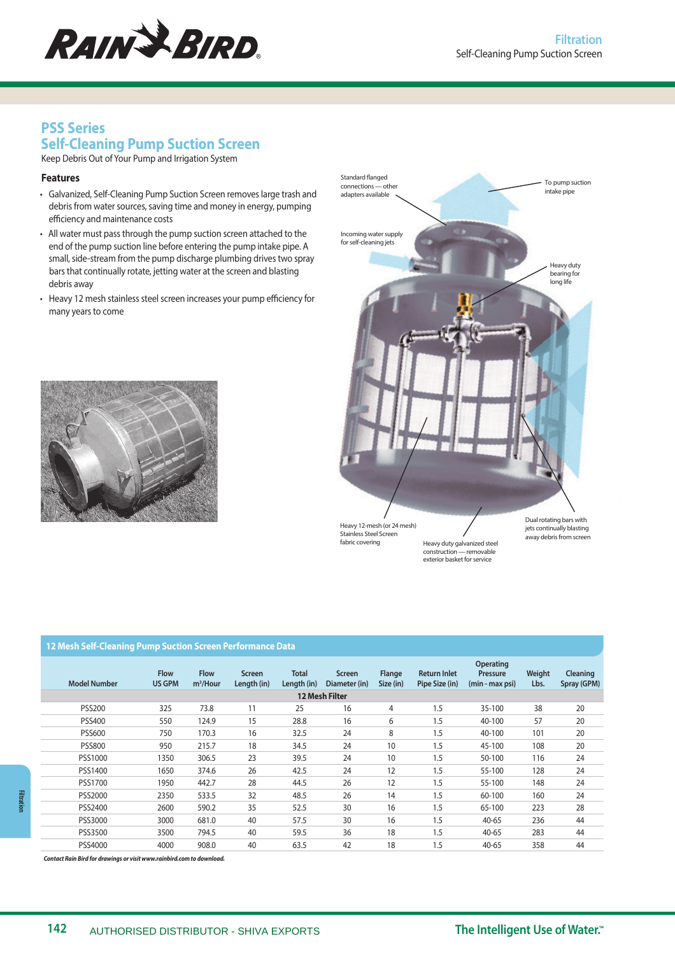

# **PSS Series Self-Cleaning Pump Suction Screen**

Keep Debris Out of Your Pump and Irrigation System

#### **Features**

- Galvanized, Self-Cleaning Pump Suction Screen removes large trash and debris from water sources, saving time and money in energy, pumping efficiency and maintenance costs
- All water must pass through the pump suction screen attached to the end of the pump suction line before entering the pump intake pipe. A small, side-stream from the pump discharge plumbing drives two spray bars that continually rotate, jetting water at the screen and blasting debris away
- Heavy 12 mesh stainless steel screen increases your pump efficiency for many years to come





#### **12 Mesh Self-Cleaning Pump Suction Screen Performance Data**

| <b>Model Number</b> | <b>Flow</b><br><b>US GPM</b> | <b>Flow</b><br>$m^3$ /Hour | <b>Screen</b><br>Length (in) | <b>Total</b><br>Length (in) | <b>Screen</b><br>Diameter (in) | Flange<br>Size (in) | <b>Return Inlet</b><br>Pipe Size (in) | Operating<br>Pressure<br>(min - max psi) | Weight<br>Lbs. | <b>Cleaning</b><br>Spray (GPM) |
|---------------------|------------------------------|----------------------------|------------------------------|-----------------------------|--------------------------------|---------------------|---------------------------------------|------------------------------------------|----------------|--------------------------------|
|                     |                              |                            |                              |                             | <b>12 Mesh Filter</b>          |                     |                                       |                                          |                |                                |
| <b>PSS200</b>       | 325                          | 73.8                       | 11                           | 25                          | 16                             | 4                   | 1.5                                   | 35-100                                   | 38             | 20                             |
| <b>PSS400</b>       | 550                          | 124.9                      | 15                           | 28.8                        | 16                             | 6                   | 1.5                                   | 40-100                                   | 57             | 20                             |
| <b>PSS600</b>       | 750                          | 170.3                      | 16                           | 32.5                        | 24                             | 8                   | 1.5                                   | 40-100                                   | 101            | 20                             |
| <b>PSS800</b>       | 950                          | 215.7                      | 18                           | 34.5                        | 24                             | 10                  | 1.5                                   | 45-100                                   | 108            | 20                             |
| PSS1000             | 1350                         | 306.5                      | 23                           | 39.5                        | 24                             | 10                  | 1.5                                   | 50-100                                   | 116            | 24                             |
| PSS1400             | 1650                         | 374.6                      | 26                           | 42.5                        | 24                             | 12                  | 1.5                                   | 55-100                                   | 128            | 24                             |
| PSS1700             | 1950                         | 442.7                      | 28                           | 44.5                        | 26                             | 12                  | 1.5                                   | 55-100                                   | 148            | 24                             |
| PSS2000             | 2350                         | 533.5                      | 32                           | 48.5                        | 26                             | 14                  | 1.5                                   | 60-100                                   | 160            | 24                             |
| PSS2400             | 2600                         | 590.2                      | 35                           | 52.5                        | 30                             | 16                  | 1.5                                   | 65-100                                   | 223            | 28                             |
| PSS3000             | 3000                         | 681.0                      | 40                           | 57.5                        | 30                             | 16                  | 1.5                                   | $40 - 65$                                | 236            | 44                             |
| PSS3500             | 3500                         | 794.5                      | 40                           | 59.5                        | 36                             | 18                  | 1.5                                   | $40 - 65$                                | 283            | 44                             |
| PSS4000             | 4000                         | 908.0                      | 40                           | 63.5                        | 42                             | 18                  | 1.5                                   | $40 - 65$                                | 358            | 44                             |

**Contact Rain Bird for drawings or visit www.rainbird.com to download.**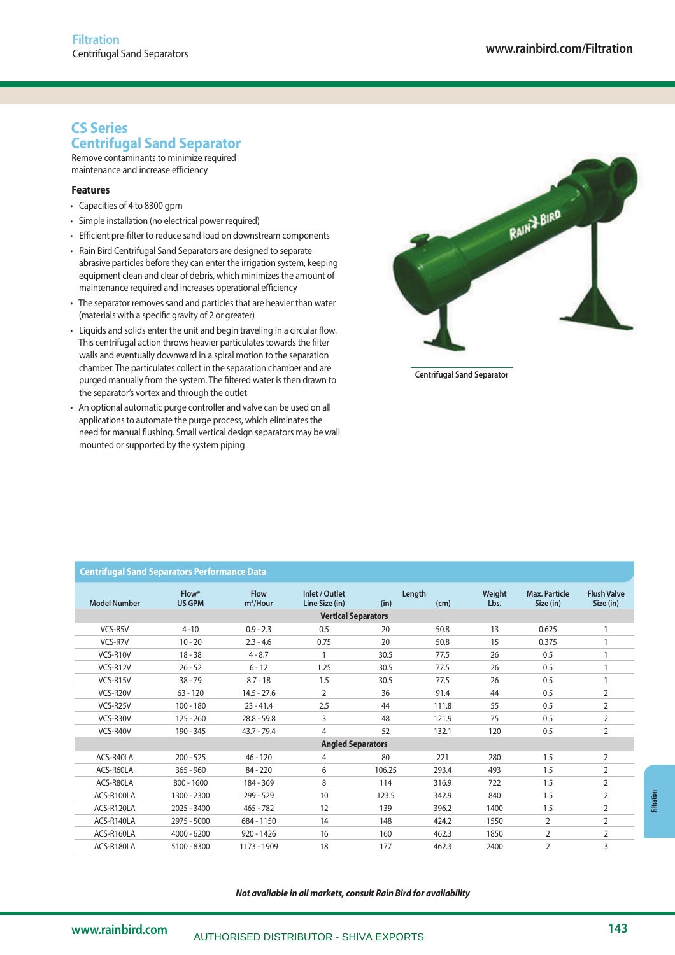# **CS Series Centrifugal Sand Separator**

Remove contaminants to minimize required maintenance and increase efficiency

## **Features**

- Capacities of 4 to 8300 gpm
- Simple installation (no electrical power required)
- Efficient pre-filter to reduce sand load on downstream components
- Rain Bird Centrifugal Sand Separators are designed to separate abrasive particles before they can enter the irrigation system, keeping equipment clean and clear of debris, which minimizes the amount of maintenance required and increases operational efficiency
- The separator removes sand and particles that are heavier than water (materials with a specific gravity of 2 or greater)
- Liquids and solids enter the unit and begin traveling in a circular flow. This centrifugal action throws heavier particulates towards the filter walls and eventually downward in a spiral motion to the separation chamber. The particulates collect in the separation chamber and are purged manually from the system. The filtered water is then drawn to the separator's vortex and through the outlet
- An optional automatic purge controller and valve can be used on all applications to automate the purge process, which eliminates the need for manual flushing. Small vertical design separators may be wall mounted or supported by the system piping



**Centrifugal Sand Separator**

| <b>Model Number</b> | Flow*<br><b>US GPM</b> | <b>Flow</b><br>$m^3$ /Hour | Inlet / Outlet<br>Line Size (in) | (in)   | Length<br>(cm) | Weight<br>Lbs. | Max. Particle<br>Size (in) | <b>Flush Valve</b><br>Size (in) |
|---------------------|------------------------|----------------------------|----------------------------------|--------|----------------|----------------|----------------------------|---------------------------------|
|                     |                        |                            | <b>Vertical Separators</b>       |        |                |                |                            |                                 |
| VCS-R5V             | $4 - 10$               | $0.9 - 2.3$                | 0.5                              | 20     | 50.8           | 13             | 0.625                      |                                 |
| VCS-R7V             | $10 - 20$              | $2.3 - 4.6$                | 0.75                             | 20     | 50.8           | 15             | 0.375                      |                                 |
| VCS-R10V            | $18 - 38$              | $4 - 8.7$                  | 1                                | 30.5   | 77.5           | 26             | 0.5                        |                                 |
| VCS-R12V            | $26 - 52$              | $6 - 12$                   | 1.25                             | 30.5   | 77.5           | 26             | 0.5                        | 1                               |
| VCS-R15V            | $38 - 79$              | $8.7 - 18$                 | 1.5                              | 30.5   | 77.5           | 26             | 0.5                        |                                 |
| VCS-R20V            | $63 - 120$             | $14.5 - 27.6$              | $\overline{2}$                   | 36     | 91.4           | 44             | 0.5                        | $\overline{2}$                  |
| VCS-R25V            | $100 - 180$            | $23 - 41.4$                | 2.5                              | 44     | 111.8          | 55             | 0.5                        | $\overline{2}$                  |
| VCS-R30V            | $125 - 260$            | $28.8 - 59.8$              | 3                                | 48     | 121.9          | 75             | 0.5                        | $\overline{2}$                  |
| VCS-R40V            | 190 - 345              | $43.7 - 79.4$              | $\overline{4}$                   | 52     | 132.1          | 120            | 0.5                        | $\overline{2}$                  |
|                     |                        |                            | <b>Angled Separators</b>         |        |                |                |                            |                                 |
| ACS-R40LA           | $200 - 525$            | $46 - 120$                 | 4                                | 80     | 221            | 280            | 1.5                        | $\overline{2}$                  |
| ACS-R60LA           | $365 - 960$            | 84 - 220                   | 6                                | 106.25 | 293.4          | 493            | 1.5                        | 2                               |
| ACS-R80LA           | $800 - 1600$           | 184 - 369                  | 8                                | 114    | 316.9          | 722            | 1.5                        | $\overline{2}$                  |
| ACS-R100LA          | 1300 - 2300            | $299 - 529$                | 10                               | 123.5  | 342.9          | 840            | 1.5                        | $\overline{2}$                  |
| ACS-R120LA          | 2025 - 3400            | $465 - 782$                | 12                               | 139    | 396.2          | 1400           | 1.5                        | $\overline{2}$                  |
| ACS-R140LA          | 2975 - 5000            | 684 - 1150                 | 14                               | 148    | 424.2          | 1550           | 2                          | $\overline{2}$                  |
| ACS-R160LA          | 4000 - 6200            | $920 - 1426$               | 16                               | 160    | 462.3          | 1850           | 2                          | $\overline{2}$                  |
| ACS-R180LA          | 5100 - 8300            | 1173 - 1909                | 18                               | 177    | 462.3          | 2400           | 2                          | 3                               |
|                     |                        |                            |                                  |        |                |                |                            |                                 |

# **Centrifugal Sand Separators Performance Data**

**Not available in all markets, consult Rain Bird for availability**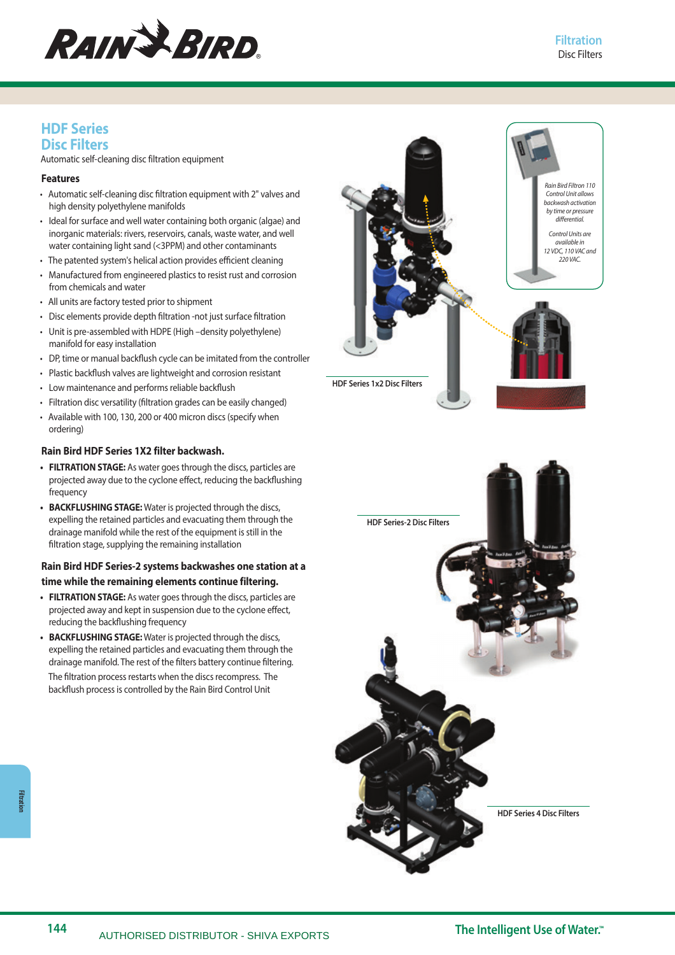

## **HDF Series Disc Filters**

Automatic self-cleaning disc filtration equipment

## **Features**

- Automatic self-cleaning disc filtration equipment with 2" valves and high density polyethylene manifolds
- Ideal for surface and well water containing both organic (algae) and inorganic materials: rivers, reservoirs, canals, waste water, and well water containing light sand (<3PPM) and other contaminants
- The patented system's helical action provides efficient cleaning
- Manufactured from engineered plastics to resist rust and corrosion from chemicals and water
- All units are factory tested prior to shipment
- Disc elements provide depth filtration -not just surface filtration
- Unit is pre-assembled with HDPE (High –density polyethylene) manifold for easy installation
- DP, time or manual backflush cycle can be imitated from the controller
- Plastic backflush valves are lightweight and corrosion resistant
- Low maintenance and performs reliable backflush
- Filtration disc versatility (filtration grades can be easily changed)
- Available with 100, 130, 200 or 400 micron discs (specify when ordering)

## **Rain Bird HDF Series 1X2 filter backwash.**

- **FILTRATION STAGE:** As water goes through the discs, particles are projected away due to the cyclone effect, reducing the backflushing frequency
- **BACKFLUSHING STAGE:** Water is projected through the discs, expelling the retained particles and evacuating them through the drainage manifold while the rest of the equipment is still in the filtration stage, supplying the remaining installation

## **Rain Bird HDF Series-2 systems backwashes one station at a time while the remaining elements continue filtering.**

- **FILTRATION STAGE:** As water goes through the discs, particles are projected away and kept in suspension due to the cyclone effect, reducing the backflushing frequency
- **BACKFLUSHING STAGE:** Water is projected through the discs, expelling the retained particles and evacuating them through the drainage manifold. The rest of the filters battery continue filtering. The filtration process restarts when the discs recompress. The backflush process is controlled by the Rain Bird Control Unit